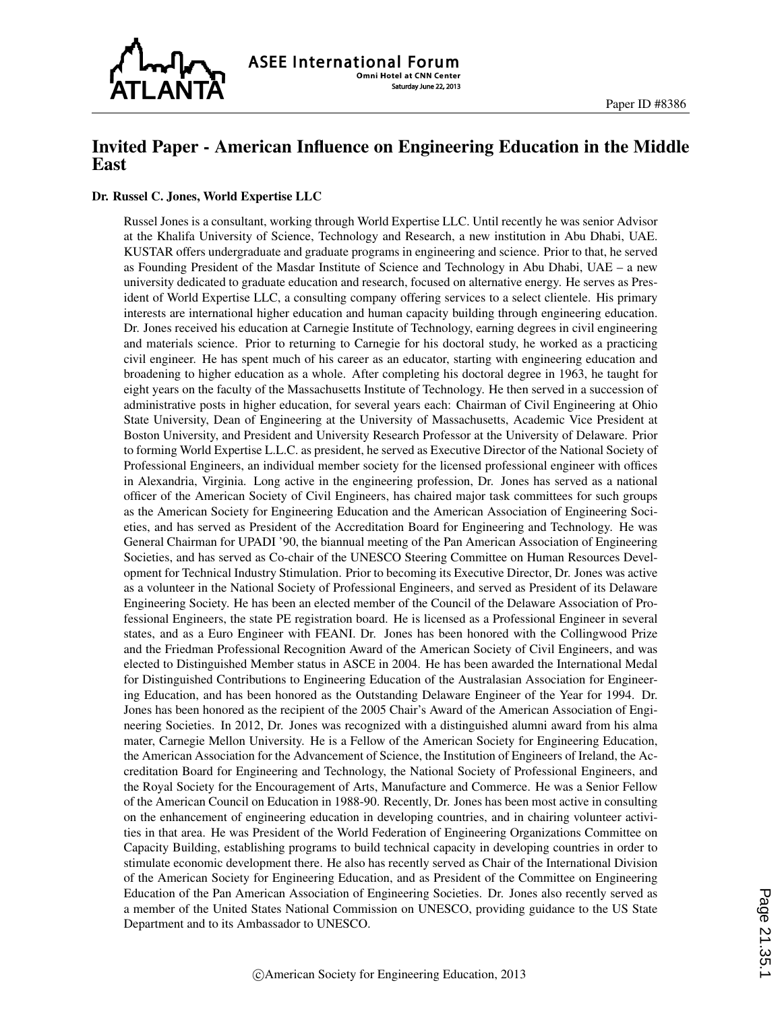

# Invited Paper - American Influence on Engineering Education in the Middle East

#### Dr. Russel C. Jones, World Expertise LLC

Russel Jones is a consultant, working through World Expertise LLC. Until recently he was senior Advisor at the Khalifa University of Science, Technology and Research, a new institution in Abu Dhabi, UAE. KUSTAR offers undergraduate and graduate programs in engineering and science. Prior to that, he served as Founding President of the Masdar Institute of Science and Technology in Abu Dhabi, UAE – a new university dedicated to graduate education and research, focused on alternative energy. He serves as President of World Expertise LLC, a consulting company offering services to a select clientele. His primary interests are international higher education and human capacity building through engineering education. Dr. Jones received his education at Carnegie Institute of Technology, earning degrees in civil engineering and materials science. Prior to returning to Carnegie for his doctoral study, he worked as a practicing civil engineer. He has spent much of his career as an educator, starting with engineering education and broadening to higher education as a whole. After completing his doctoral degree in 1963, he taught for eight years on the faculty of the Massachusetts Institute of Technology. He then served in a succession of administrative posts in higher education, for several years each: Chairman of Civil Engineering at Ohio State University, Dean of Engineering at the University of Massachusetts, Academic Vice President at Boston University, and President and University Research Professor at the University of Delaware. Prior to forming World Expertise L.L.C. as president, he served as Executive Director of the National Society of Professional Engineers, an individual member society for the licensed professional engineer with offices in Alexandria, Virginia. Long active in the engineering profession, Dr. Jones has served as a national officer of the American Society of Civil Engineers, has chaired major task committees for such groups as the American Society for Engineering Education and the American Association of Engineering Societies, and has served as President of the Accreditation Board for Engineering and Technology. He was General Chairman for UPADI '90, the biannual meeting of the Pan American Association of Engineering Societies, and has served as Co-chair of the UNESCO Steering Committee on Human Resources Development for Technical Industry Stimulation. Prior to becoming its Executive Director, Dr. Jones was active as a volunteer in the National Society of Professional Engineers, and served as President of its Delaware Engineering Society. He has been an elected member of the Council of the Delaware Association of Professional Engineers, the state PE registration board. He is licensed as a Professional Engineer in several states, and as a Euro Engineer with FEANI. Dr. Jones has been honored with the Collingwood Prize and the Friedman Professional Recognition Award of the American Society of Civil Engineers, and was elected to Distinguished Member status in ASCE in 2004. He has been awarded the International Medal for Distinguished Contributions to Engineering Education of the Australasian Association for Engineering Education, and has been honored as the Outstanding Delaware Engineer of the Year for 1994. Dr. Jones has been honored as the recipient of the 2005 Chair's Award of the American Association of Engineering Societies. In 2012, Dr. Jones was recognized with a distinguished alumni award from his alma mater, Carnegie Mellon University. He is a Fellow of the American Society for Engineering Education, the American Association for the Advancement of Science, the Institution of Engineers of Ireland, the Accreditation Board for Engineering and Technology, the National Society of Professional Engineers, and the Royal Society for the Encouragement of Arts, Manufacture and Commerce. He was a Senior Fellow of the American Council on Education in 1988-90. Recently, Dr. Jones has been most active in consulting on the enhancement of engineering education in developing countries, and in chairing volunteer activities in that area. He was President of the World Federation of Engineering Organizations Committee on Capacity Building, establishing programs to build technical capacity in developing countries in order to stimulate economic development there. He also has recently served as Chair of the International Division of the American Society for Engineering Education, and as President of the Committee on Engineering Education of the Pan American Association of Engineering Societies. Dr. Jones also recently served as a member of the United States National Commission on UNESCO, providing guidance to the US State Department and to its Ambassador to UNESCO.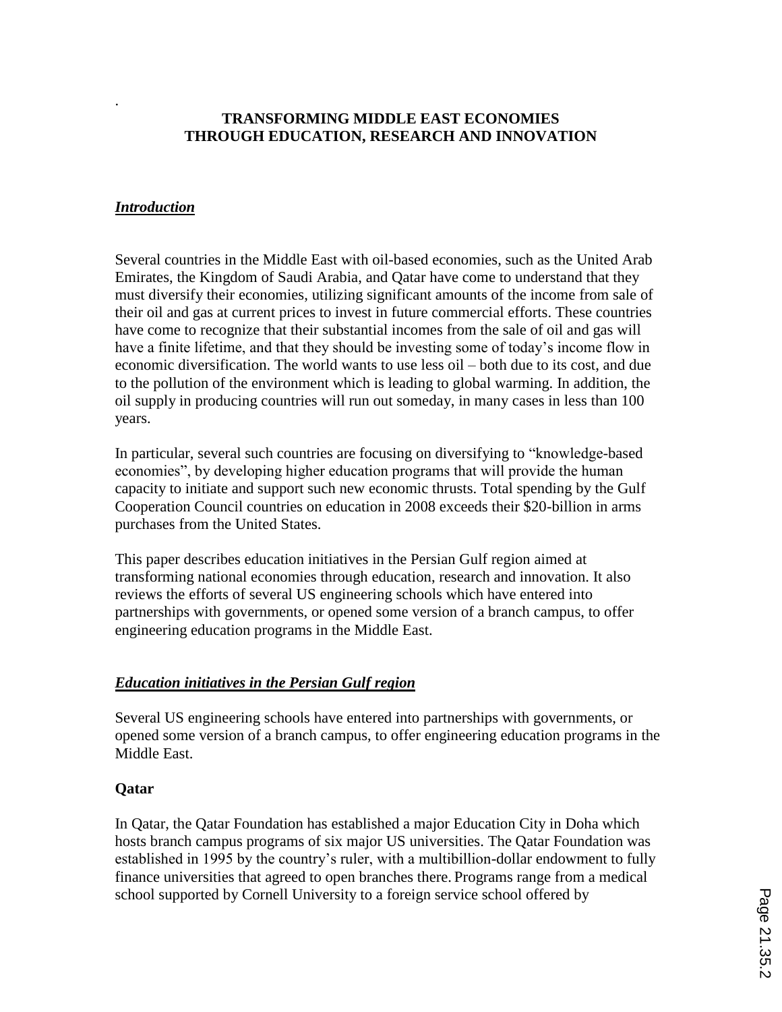## **TRANSFORMING MIDDLE EAST ECONOMIES THROUGH EDUCATION, RESEARCH AND INNOVATION**

#### *Introduction*

.

Several countries in the Middle East with oil-based economies, such as the United Arab Emirates, the Kingdom of Saudi Arabia, and Qatar have come to understand that they must diversify their economies, utilizing significant amounts of the income from sale of their oil and gas at current prices to invest in future commercial efforts. These countries have come to recognize that their substantial incomes from the sale of oil and gas will have a finite lifetime, and that they should be investing some of today's income flow in economic diversification. The world wants to use less oil – both due to its cost, and due to the pollution of the environment which is leading to global warming. In addition, the oil supply in producing countries will run out someday, in many cases in less than 100 years.

In particular, several such countries are focusing on diversifying to "knowledge-based economies", by developing higher education programs that will provide the human capacity to initiate and support such new economic thrusts. Total spending by the Gulf Cooperation Council countries on education in 2008 exceeds their \$20-billion in arms purchases from the United States.

This paper describes education initiatives in the Persian Gulf region aimed at transforming national economies through education, research and innovation. It also reviews the efforts of several US engineering schools which have entered into partnerships with governments, or opened some version of a branch campus, to offer engineering education programs in the Middle East.

#### *Education initiatives in the Persian Gulf region*

Several US engineering schools have entered into partnerships with governments, or opened some version of a branch campus, to offer engineering education programs in the Middle East.

#### **Qatar**

In Qatar, the Qatar Foundation has established a major Education City in Doha which hosts branch campus programs of six major US universities. The Qatar Foundation was established in 1995 by the country's ruler, with a multibillion-dollar endowment to fully finance universities that agreed to open branches there. Programs range from a medical school supported by Cornell University to a foreign service school offered by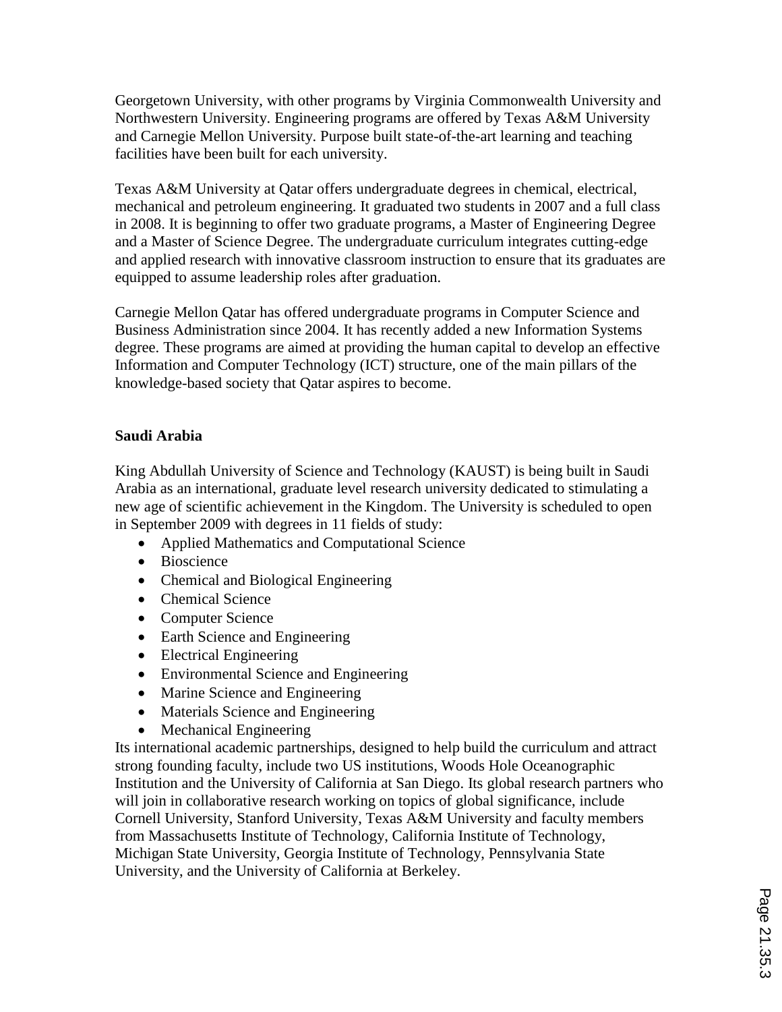Georgetown University, with other programs by Virginia Commonwealth University and Northwestern University. Engineering programs are offered by Texas A&M University and Carnegie Mellon University. Purpose built state-of-the-art learning and teaching facilities have been built for each university.

Texas A&M University at Qatar offers undergraduate degrees in chemical, electrical, mechanical and petroleum engineering. It graduated two students in 2007 and a full class in 2008. It is beginning to offer two graduate programs, a Master of Engineering Degree and a Master of Science Degree. The undergraduate curriculum integrates cutting-edge and applied research with innovative classroom instruction to ensure that its graduates are equipped to assume leadership roles after graduation.

Carnegie Mellon Qatar has offered undergraduate programs in Computer Science and Business Administration since 2004. It has recently added a new Information Systems degree. These programs are aimed at providing the human capital to develop an effective Information and Computer Technology (ICT) structure, one of the main pillars of the knowledge-based society that Qatar aspires to become.

### **Saudi Arabia**

King Abdullah University of Science and Technology (KAUST) is being built in Saudi Arabia as an international, graduate level research university dedicated to stimulating a new age of scientific achievement in the Kingdom. The University is scheduled to open in September 2009 with degrees in 11 fields of study:

- Applied Mathematics and Computational Science
- Bioscience
- Chemical and Biological Engineering
- Chemical Science
- Computer Science
- Earth Science and Engineering
- Electrical Engineering
- Environmental Science and Engineering
- Marine Science and Engineering
- Materials Science and Engineering
- Mechanical Engineering

Its international academic partnerships, designed to help build the curriculum and attract strong founding faculty, include two US institutions, Woods Hole Oceanographic Institution and the University of California at San Diego. Its global research partners who will join in collaborative research working on topics of global significance, include Cornell University, Stanford University, Texas A&M University and faculty members from Massachusetts Institute of Technology, California Institute of Technology, Michigan State University, Georgia Institute of Technology, Pennsylvania State University, and the University of California at Berkeley.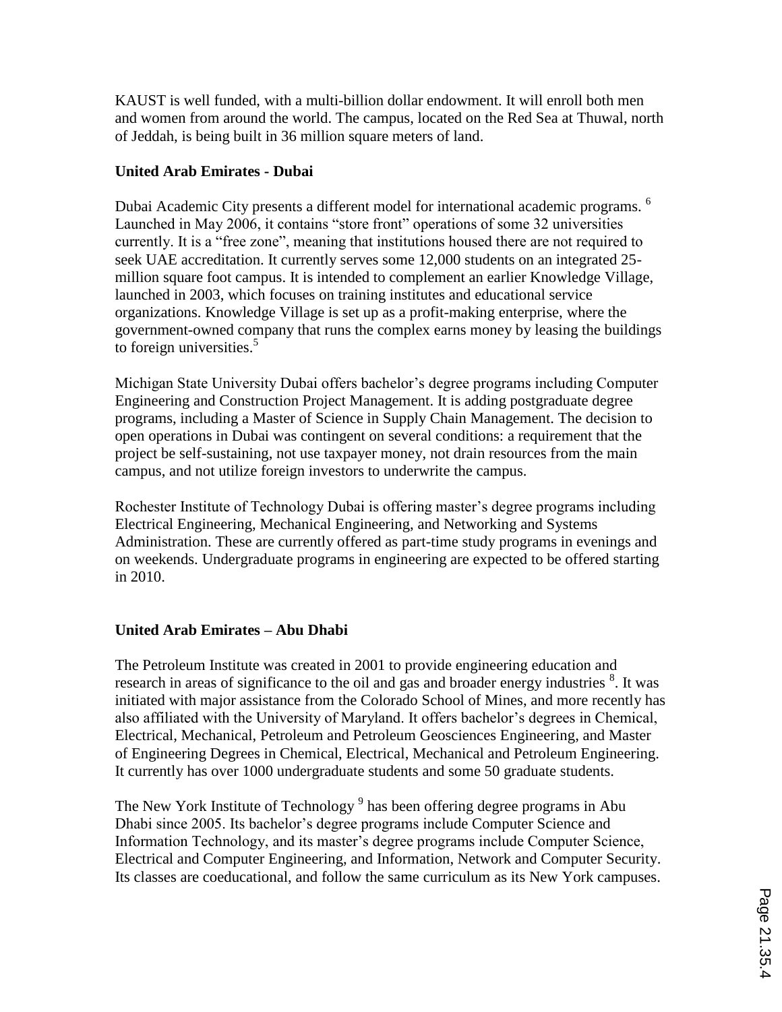KAUST is well funded, with a multi-billion dollar endowment. It will enroll both men and women from around the world. The campus, located on the Red Sea at Thuwal, north of Jeddah, is being built in 36 million square meters of land.

## **United Arab Emirates - Dubai**

Dubai Academic City presents a different model for international academic programs. <sup>6</sup> Launched in May 2006, it contains "store front" operations of some 32 universities currently. It is a "free zone", meaning that institutions housed there are not required to seek UAE accreditation. It currently serves some 12,000 students on an integrated 25 million square foot campus. It is intended to complement an earlier Knowledge Village, launched in 2003, which focuses on training institutes and educational service organizations. Knowledge Village is set up as a profit-making enterprise, where the government-owned company that runs the complex earns money by leasing the buildings to foreign universities.<sup>5</sup>

Michigan State University Dubai offers bachelor's degree programs including Computer Engineering and Construction Project Management. It is adding postgraduate degree programs, including a Master of Science in Supply Chain Management. The decision to open operations in Dubai was contingent on several conditions: a requirement that the project be self-sustaining, not use taxpayer money, not drain resources from the main campus, and not utilize foreign investors to underwrite the campus.

Rochester Institute of Technology Dubai is offering master's degree programs including Electrical Engineering, Mechanical Engineering, and Networking and Systems Administration. These are currently offered as part-time study programs in evenings and on weekends. Undergraduate programs in engineering are expected to be offered starting in 2010.

# **United Arab Emirates – Abu Dhabi**

The Petroleum Institute was created in 2001 to provide engineering education and research in areas of significance to the oil and gas and broader energy industries <sup>8</sup>. It was initiated with major assistance from the Colorado School of Mines, and more recently has also affiliated with the University of Maryland. It offers bachelor's degrees in Chemical, Electrical, Mechanical, Petroleum and Petroleum Geosciences Engineering, and Master of Engineering Degrees in Chemical, Electrical, Mechanical and Petroleum Engineering. It currently has over 1000 undergraduate students and some 50 graduate students.

The New York Institute of Technology<sup>9</sup> has been offering degree programs in Abu Dhabi since 2005. Its bachelor's degree programs include Computer Science and Information Technology, and its master's degree programs include Computer Science, Electrical and Computer Engineering, and Information, Network and Computer Security. Its classes are coeducational, and follow the same curriculum as its New York campuses.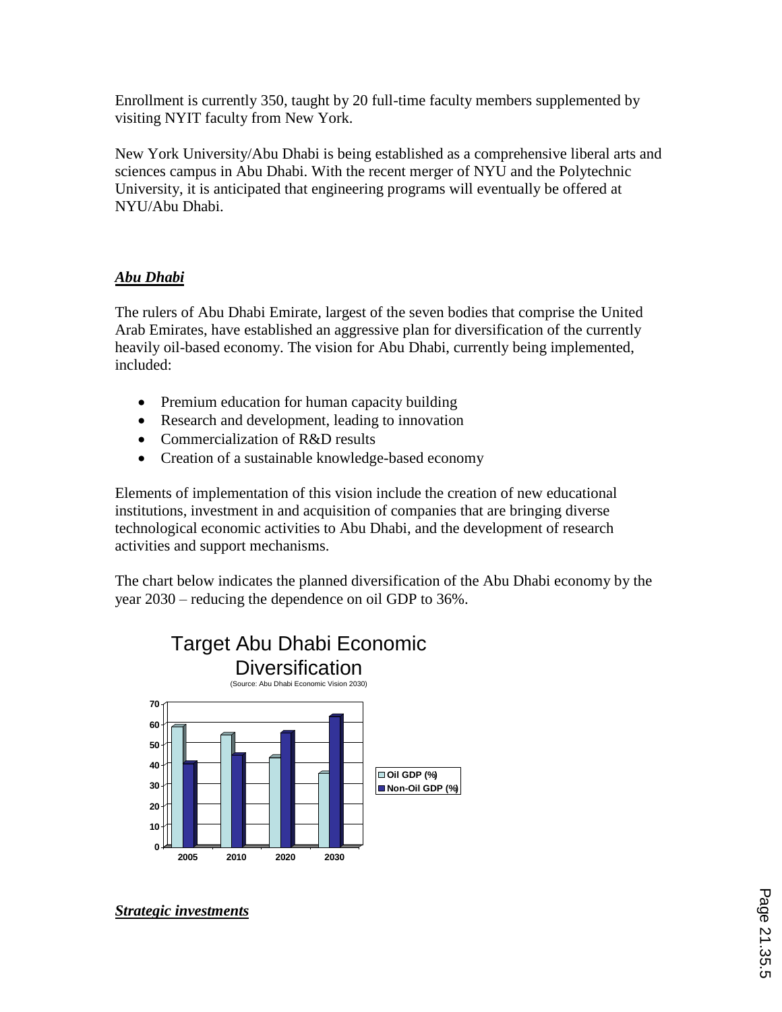Enrollment is currently 350, taught by 20 full-time faculty members supplemented by visiting NYIT faculty from New York.

New York University/Abu Dhabi is being established as a comprehensive liberal arts and sciences campus in Abu Dhabi. With the recent merger of NYU and the Polytechnic University, it is anticipated that engineering programs will eventually be offered at NYU/Abu Dhabi.

# *Abu Dhabi*

The rulers of Abu Dhabi Emirate, largest of the seven bodies that comprise the United Arab Emirates, have established an aggressive plan for diversification of the currently heavily oil-based economy. The vision for Abu Dhabi, currently being implemented, included:

- Premium education for human capacity building
- Research and development, leading to innovation
- Commercialization of R&D results
- Creation of a sustainable knowledge-based economy

Elements of implementation of this vision include the creation of new educational institutions, investment in and acquisition of companies that are bringing diverse technological economic activities to Abu Dhabi, and the development of research activities and support mechanisms.

The chart below indicates the planned diversification of the Abu Dhabi economy by the year 2030 – reducing the dependence on oil GDP to 36%.



*Strategic investments*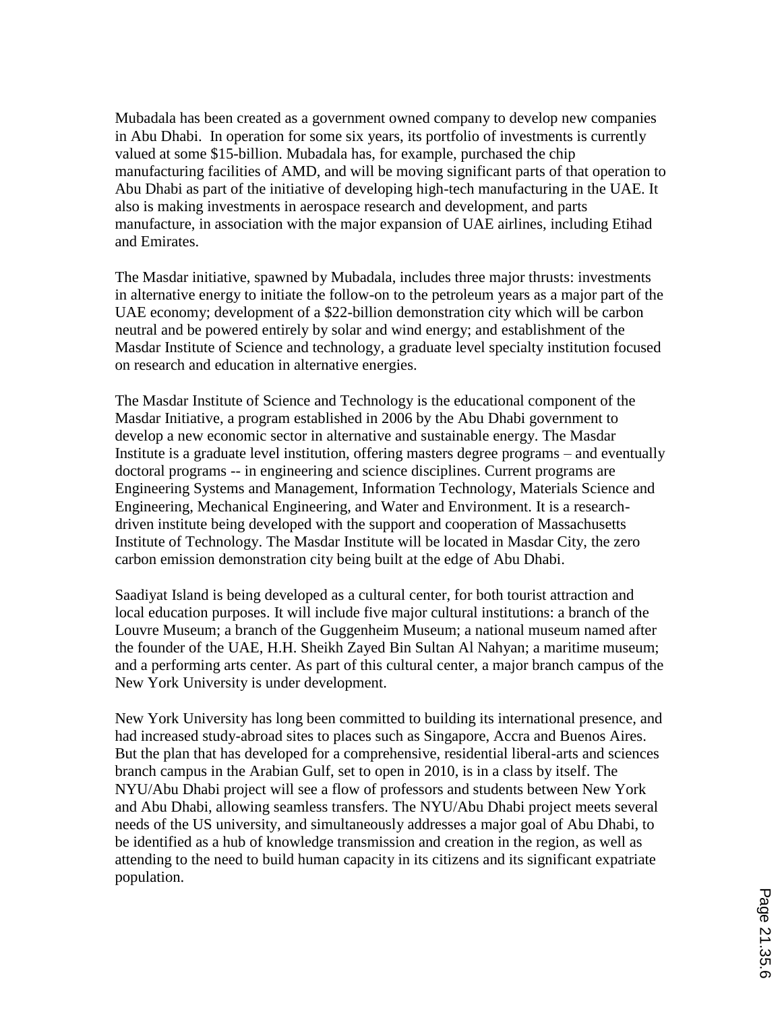Mubadala has been created as a government owned company to develop new companies in Abu Dhabi. In operation for some six years, its portfolio of investments is currently valued at some \$15-billion. Mubadala has, for example, purchased the chip manufacturing facilities of AMD, and will be moving significant parts of that operation to Abu Dhabi as part of the initiative of developing high-tech manufacturing in the UAE. It also is making investments in aerospace research and development, and parts manufacture, in association with the major expansion of UAE airlines, including Etihad and Emirates.

The Masdar initiative, spawned by Mubadala, includes three major thrusts: investments in alternative energy to initiate the follow-on to the petroleum years as a major part of the UAE economy; development of a \$22-billion demonstration city which will be carbon neutral and be powered entirely by solar and wind energy; and establishment of the Masdar Institute of Science and technology, a graduate level specialty institution focused on research and education in alternative energies.

The Masdar Institute of Science and Technology is the educational component of the Masdar Initiative, a program established in 2006 by the Abu Dhabi government to develop a new economic sector in alternative and sustainable energy. The Masdar Institute is a graduate level institution, offering masters degree programs – and eventually doctoral programs -- in engineering and science disciplines. Current programs are Engineering Systems and Management, Information Technology, Materials Science and Engineering, Mechanical Engineering, and Water and Environment. It is a researchdriven institute being developed with the support and cooperation of Massachusetts Institute of Technology. The Masdar Institute will be located in Masdar City, the zero carbon emission demonstration city being built at the edge of Abu Dhabi.

Saadiyat Island is being developed as a cultural center, for both tourist attraction and local education purposes. It will include five major cultural institutions: a branch of the Louvre Museum; a branch of the Guggenheim Museum; a national museum named after the founder of the UAE, H.H. Sheikh Zayed Bin Sultan Al Nahyan; a maritime museum; and a performing arts center. As part of this cultural center, a major branch campus of the New York University is under development.

New York University has long been committed to building its international presence, and had increased study-abroad sites to places such as Singapore, Accra and Buenos Aires. But the plan that has developed for a comprehensive, residential liberal-arts and sciences branch campus in the Arabian Gulf, set to open in 2010, is in a class by itself. The NYU/Abu Dhabi project will see a flow of professors and students between New York and Abu Dhabi, allowing seamless transfers. The NYU/Abu Dhabi project meets several needs of the US university, and simultaneously addresses a major goal of Abu Dhabi, to be identified as a hub of knowledge transmission and creation in the region, as well as attending to the need to build human capacity in its citizens and its significant expatriate population.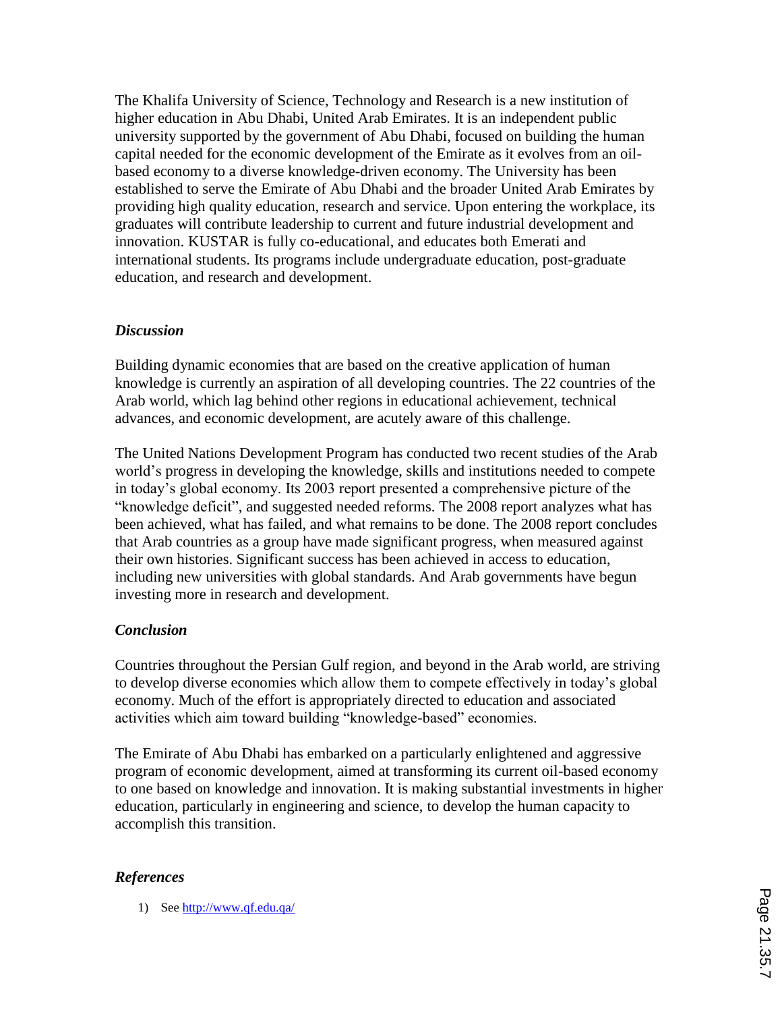The Khalifa University of Science, Technology and Research is a new institution of higher education in Abu Dhabi, United Arab Emirates. It is an independent public university supported by the government of Abu Dhabi, focused on building the human capital needed for the economic development of the Emirate as it evolves from an oilbased economy to a diverse knowledge-driven economy. The University has been established to serve the Emirate of Abu Dhabi and the broader United Arab Emirates by providing high quality education, research and service. Upon entering the workplace, its graduates will contribute leadership to current and future industrial development and innovation. KUSTAR is fully co-educational, and educates both Emerati and international students. Its programs include undergraduate education, post-graduate education, and research and development.

### *Discussion*

Building dynamic economies that are based on the creative application of human knowledge is currently an aspiration of all developing countries. The 22 countries of the Arab world, which lag behind other regions in educational achievement, technical advances, and economic development, are acutely aware of this challenge.

The United Nations Development Program has conducted two recent studies of the Arab world's progress in developing the knowledge, skills and institutions needed to compete in today's global economy. Its 2003 report presented a comprehensive picture of the "knowledge deficit", and suggested needed reforms. The 2008 report analyzes what has been achieved, what has failed, and what remains to be done. The 2008 report concludes that Arab countries as a group have made significant progress, when measured against their own histories. Significant success has been achieved in access to education, including new universities with global standards. And Arab governments have begun investing more in research and development.

# *Conclusion*

Countries throughout the Persian Gulf region, and beyond in the Arab world, are striving to develop diverse economies which allow them to compete effectively in today's global economy. Much of the effort is appropriately directed to education and associated activities which aim toward building "knowledge-based" economies.

The Emirate of Abu Dhabi has embarked on a particularly enlightened and aggressive program of economic development, aimed at transforming its current oil-based economy to one based on knowledge and innovation. It is making substantial investments in higher education, particularly in engineering and science, to develop the human capacity to accomplish this transition.

# *References*

1) See http://www.qf.edu.qa/